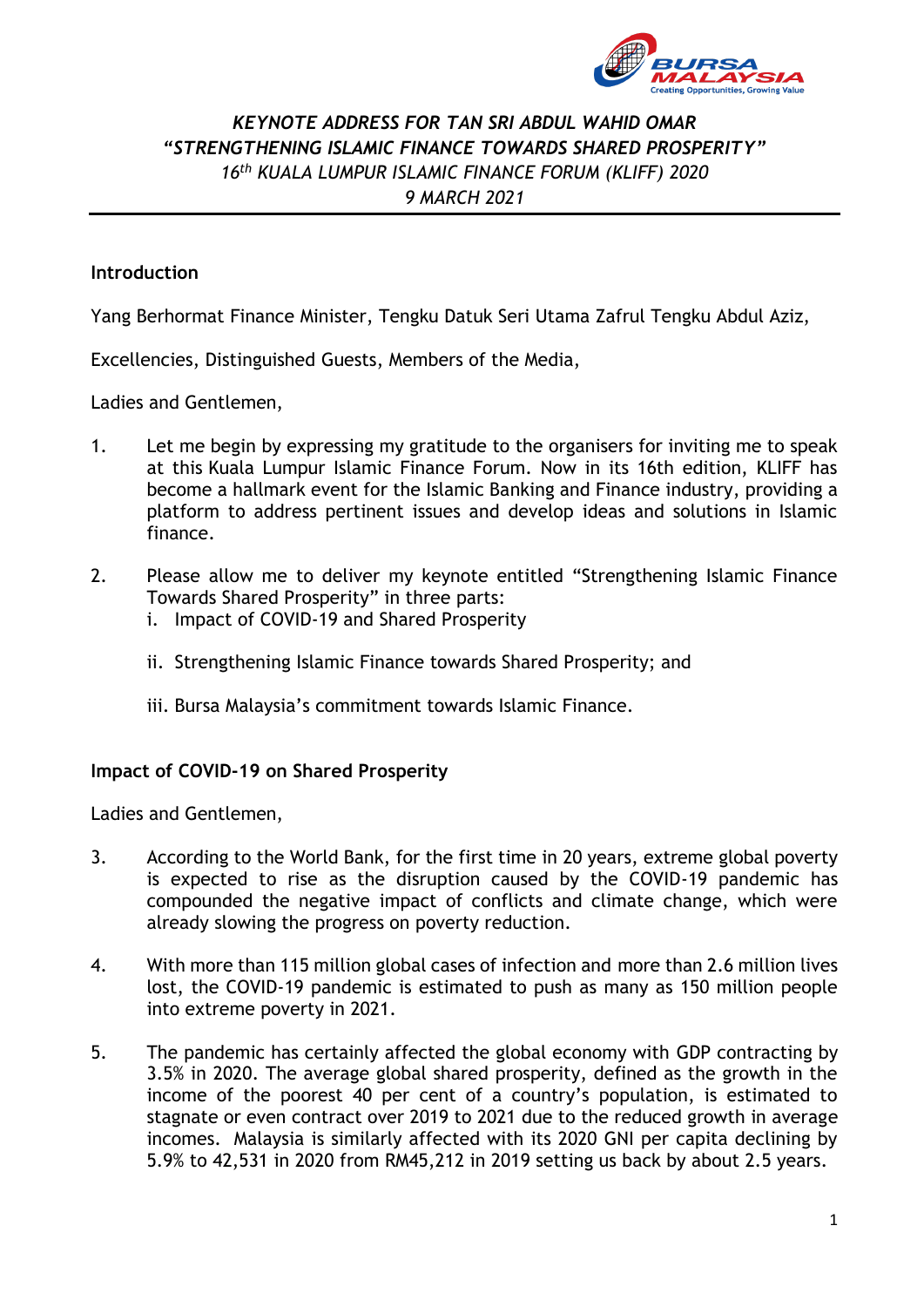

# *KEYNOTE ADDRESS FOR TAN SRI ABDUL WAHID OMAR "STRENGTHENING ISLAMIC FINANCE TOWARDS SHARED PROSPERITY" 16th KUALA LUMPUR ISLAMIC FINANCE FORUM (KLIFF) 2020 9 MARCH 2021*

## **Introduction**

Yang Berhormat Finance Minister, Tengku Datuk Seri Utama Zafrul Tengku Abdul Aziz,

Excellencies, Distinguished Guests, Members of the Media,

Ladies and Gentlemen,

- 1. Let me begin by expressing my gratitude to the organisers for inviting me to speak at this Kuala Lumpur Islamic Finance Forum. Now in its 16th edition, KLIFF has become a hallmark event for the Islamic Banking and Finance industry, providing a platform to address pertinent issues and develop ideas and solutions in Islamic finance.
- 2. Please allow me to deliver my keynote entitled "Strengthening Islamic Finance Towards Shared Prosperity" in three parts:
	- i. Impact of COVID-19 and Shared Prosperity
	- ii. Strengthening Islamic Finance towards Shared Prosperity; and
	- iii. Bursa Malaysia's commitment towards Islamic Finance.

## **Impact of COVID-19 on Shared Prosperity**

Ladies and Gentlemen,

- 3. According to the World Bank, for the first time in 20 years, extreme global poverty is expected to rise as the disruption caused by the COVID-19 pandemic has compounded the negative impact of conflicts and climate change, which were already slowing the progress on poverty reduction.
- 4. With more than 115 million global cases of infection and more than 2.6 million lives lost, the COVID-19 pandemic is estimated to push as many as 150 million people into extreme poverty in 2021.
- 5. The pandemic has certainly affected the global economy with GDP contracting by 3.5% in 2020. The average global shared prosperity, defined as the growth in the income of the poorest 40 per cent of a country's population, is estimated to stagnate or even contract over 2019 to 2021 due to the reduced growth in average incomes. Malaysia is similarly affected with its 2020 GNI per capita declining by 5.9% to 42,531 in 2020 from RM45,212 in 2019 setting us back by about 2.5 years.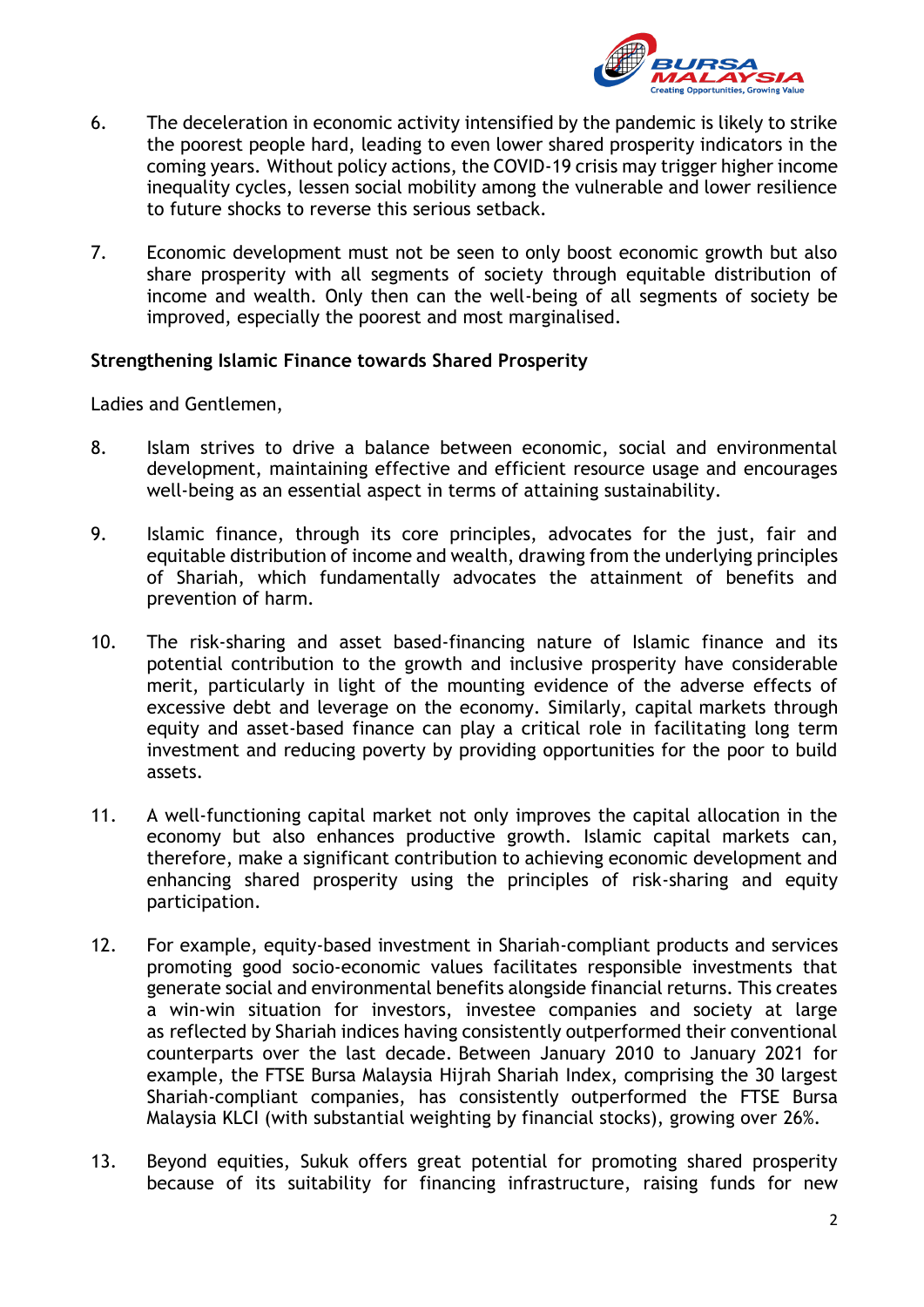

- 6. The deceleration in economic activity intensified by the pandemic is likely to strike the poorest people hard, leading to even lower shared prosperity indicators in the coming years. Without policy actions, the COVID-19 crisis may trigger higher income inequality cycles, lessen social mobility among the vulnerable and lower resilience to future shocks to reverse this serious setback.
- 7. Economic development must not be seen to only boost economic growth but also share prosperity with all segments of society through equitable distribution of income and wealth. Only then can the well-being of all segments of society be improved, especially the poorest and most marginalised.

### **Strengthening Islamic Finance towards Shared Prosperity**

Ladies and Gentlemen,

- 8. Islam strives to drive a balance between economic, social and environmental development, maintaining effective and efficient resource usage and encourages well-being as an essential aspect in terms of attaining sustainability.
- 9. Islamic finance, through its core principles, advocates for the just, fair and equitable distribution of income and wealth, drawing from the underlying principles of Shariah, which fundamentally advocates the attainment of benefits and prevention of harm.
- 10. The risk-sharing and asset based-financing nature of Islamic finance and its potential contribution to the growth and inclusive prosperity have considerable merit, particularly in light of the mounting evidence of the adverse effects of excessive debt and leverage on the economy. Similarly, capital markets through equity and asset-based finance can play a critical role in facilitating long term investment and reducing poverty by providing opportunities for the poor to build assets.
- 11. A well-functioning capital market not only improves the capital allocation in the economy but also enhances productive growth. Islamic capital markets can, therefore, make a significant contribution to achieving economic development and enhancing shared prosperity using the principles of risk-sharing and equity participation.
- 12. For example, equity-based investment in Shariah-compliant products and services promoting good socio-economic values facilitates responsible investments that generate social and environmental benefits alongside financial returns. This creates a win-win situation for investors, investee companies and society at large as reflected by Shariah indices having consistently outperformed their conventional counterparts over the last decade. Between January 2010 to January 2021 for example, the FTSE Bursa Malaysia Hijrah Shariah Index, comprising the 30 largest Shariah-compliant companies, has consistently outperformed the FTSE Bursa Malaysia KLCI (with substantial weighting by financial stocks), growing over 26%.
- 13. Beyond equities, Sukuk offers great potential for promoting shared prosperity because of its suitability for financing infrastructure, raising funds for new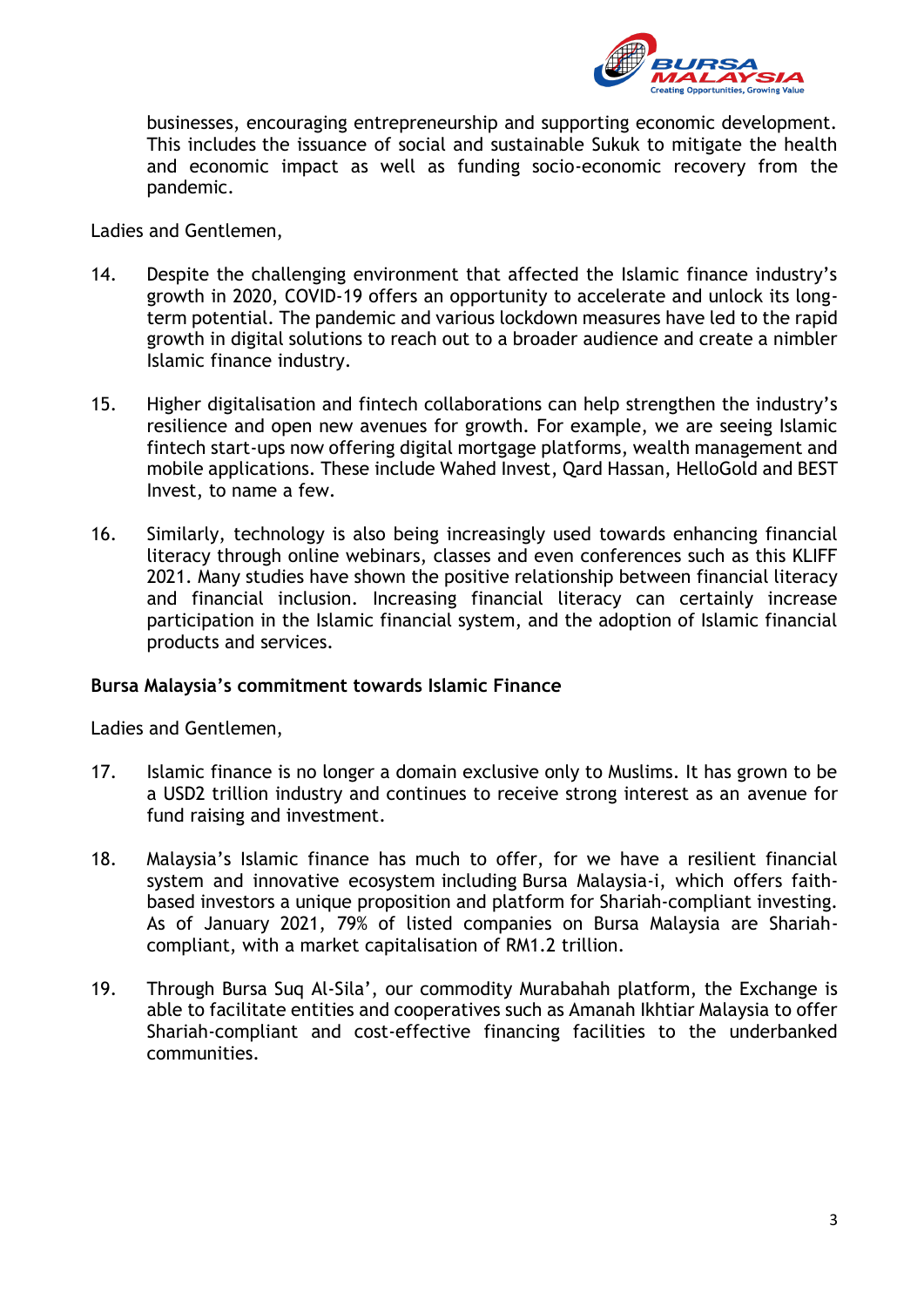

businesses, encouraging entrepreneurship and supporting economic development. This includes the issuance of social and sustainable Sukuk to mitigate the health and economic impact as well as funding socio-economic recovery from the pandemic.

Ladies and Gentlemen,

- 14. Despite the challenging environment that affected the Islamic finance industry's growth in 2020, COVID-19 offers an opportunity to accelerate and unlock its longterm potential. The pandemic and various lockdown measures have led to the rapid growth in digital solutions to reach out to a broader audience and create a nimbler Islamic finance industry.
- 15. Higher digitalisation and fintech collaborations can help strengthen the industry's resilience and open new avenues for growth. For example, we are seeing Islamic fintech start-ups now offering digital mortgage platforms, wealth management and mobile applications. These include Wahed Invest, Qard Hassan, HelloGold and BEST Invest, to name a few.
- 16. Similarly, technology is also being increasingly used towards enhancing financial literacy through online webinars, classes and even conferences such as this KLIFF 2021. Many studies have shown the positive relationship between financial literacy and financial inclusion. Increasing financial literacy can certainly increase participation in the Islamic financial system, and the adoption of Islamic financial products and services.

## **Bursa Malaysia's commitment towards Islamic Finance**

Ladies and Gentlemen,

- 17. Islamic finance is no longer a domain exclusive only to Muslims. It has grown to be a USD2 trillion industry and continues to receive strong interest as an avenue for fund raising and investment.
- 18. Malaysia's Islamic finance has much to offer, for we have a resilient financial system and innovative ecosystem including Bursa Malaysia-i, which offers faithbased investors a unique proposition and platform for Shariah-compliant investing. As of January 2021, 79% of listed companies on Bursa Malaysia are Shariahcompliant, with a market capitalisation of RM1.2 trillion.
- 19. Through Bursa Suq Al-Sila', our commodity Murabahah platform, the Exchange is able to facilitate entities and cooperatives such as Amanah Ikhtiar Malaysia to offer Shariah-compliant and cost-effective financing facilities to the underbanked communities.